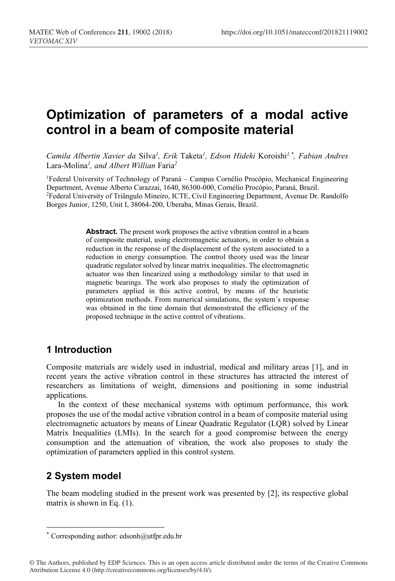# **Optimization of parameters of a modal active control in a beam of composite material**

*Camila Albertin Xavier da* Silva*<sup>1</sup> , Erik* Taketa*<sup>1</sup> , Edson Hideki* Koroishi*1,\* , Fabian Andres*  Lara-Molina*<sup>1</sup> , and Albert Willian* Faria*<sup>2</sup>*

<sup>1</sup>Federal University of Technology of Paraná – Campus Cornélio Procópio, Mechanical Engineering Department, Avenue Alberto Carazzai, 1640, 86300-000, Cornélio Procópio, Paraná, Brazil. 2Federal University of Triângulo Mineiro, ICTE, Civil Engineering Department, Avenue Dr. Randolfo Borges Junior, 1250, Unit I, 38064-200, Uberaba, Minas Gerais, Brazil.

> **Abstract.** The present work proposes the active vibration control in a beam of composite material, using electromagnetic actuators, in order to obtain a reduction in the response of the displacement of the system associated to a reduction in energy consumption. The control theory used was the linear quadratic regulator solved by linear matrix inequalities. The electromagnetic actuator was then linearized using a methodology similar to that used in magnetic bearings. The work also proposes to study the optimization of parameters applied in this active control, by means of the heuristic optimization methods. From numerical simulations, the system´s response was obtained in the time domain that demonstrated the efficiency of the proposed technique in the active control of vibrations.

# **1 Introduction**

Composite materials are widely used in industrial, medical and military areas [1], and in recent years the active vibration control in these structures has attracted the interest of researchers as limitations of weight, dimensions and positioning in some industrial applications.

In the context of these mechanical systems with optimum performance, this work proposes the use of the modal active vibration control in a beam of composite material using electromagnetic actuators by means of Linear Quadratic Regulator (LQR) solved by Linear Matrix Inequalities (LMIs). In the search for a good compromise between the energy consumption and the attenuation of vibration, the work also proposes to study the optimization of parameters applied in this control system.

# **2 System model**

 $\overline{a}$ 

The beam modeling studied in the present work was presented by [2], its respective global matrix is shown in Eq. (1).

<sup>\*</sup> Corresponding author: edsonh@utfpr.edu.br

<sup>©</sup> The Authors, published by EDP Sciences. This is an open access article distributed under the terms of the Creative Commons Attribution License 4.0 (http://creativecommons.org/licenses/by/4.0/).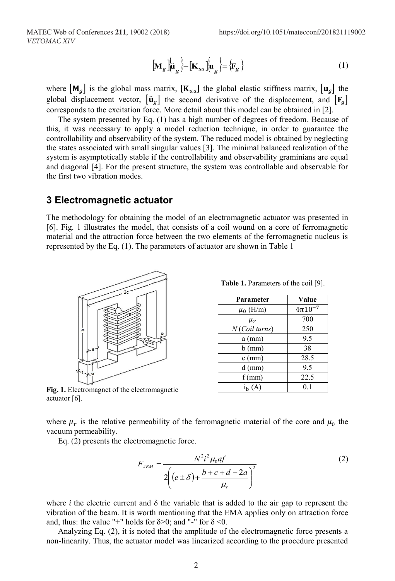$$
\left[\mathbf{M}_{g}\right] \stackrel{\leftarrow}{\left|\mathbf{u}_{g}\right|} + \left[\mathbf{K}_{uu}\right] \stackrel{\leftarrow}{\left|\mathbf{u}_{g}\right|} = \left\{\mathbf{F}_{g}\right\} \tag{1}
$$

where  $[M_{q}]$  is the global mass matrix,  $[K_{uu}]$  the global elastic stiffness matrix,  $[u_{q}]$  the global displacement vector,  $[\ddot{\mathbf{u}}_g]$  the second derivative of the displacement, and  $[\mathbf{F}_g]$ corresponds to the excitation force. More detail about this model can be obtained in [2].

The system presented by Eq. (1) has a high number of degrees of freedom. Because of this, it was necessary to apply a model reduction technique, in order to guarantee the controllability and observability of the system. The reduced model is obtained by neglecting the states associated with small singular values [3]. The minimal balanced realization of the system is asymptotically stable if the controllability and observability graminians are equal and diagonal [4]. For the present structure, the system was controllable and observable for the first two vibration modes.

#### **3 Electromagnetic actuator**

The methodology for obtaining the model of an electromagnetic actuator was presented in [6]. Fig. 1 illustrates the model, that consists of a coil wound on a core of ferromagnetic material and the attraction force between the two elements of the ferromagnetic nucleus is represented by the Eq. (1). The parameters of actuator are shown in Table 1



**Fig. 1.** Electromagnet of the electromagnetic actuator [6].

**Table 1.** Parameters of the coil [9].

| Parameter        | Value          |  |
|------------------|----------------|--|
| $\mu_0$ (H/m)    | $4\pi 10^{-7}$ |  |
| $\mu_r$          | 700            |  |
| $N$ (Coil turns) | 250            |  |
| $a$ (mm)         | 9.5            |  |
| $b$ (mm)         | 38             |  |
| $c$ (mm)         | 28.5           |  |
| $d$ (mm)         | 9.5            |  |
| $f$ (mm)         | 22.5           |  |
| $i_{h}$ (A)      | 0.1            |  |
|                  |                |  |

where  $\mu_r$  is the relative permeability of the ferromagnetic material of the core and  $\mu_0$  the vacuum permeability.

Eq. (2) presents the electromagnetic force.

$$
F_{AEM} = \frac{N^2 i^2 \mu_0 a f}{2\left((e \pm \delta) + \frac{b + c + d - 2a}{\mu_r}\right)^2}
$$
 (2)

where *i* the electric current and  $\delta$  the variable that is added to the air gap to represent the vibration of the beam. It is worth mentioning that the EMA applies only on attraction force and, thus: the value "+" holds for  $\delta$ >0; and "-" for  $\delta$  <0.

Analyzing Eq. (2), it is noted that the amplitude of the electromagnetic force presents a non-linearity. Thus, the actuator model was linearized according to the procedure presented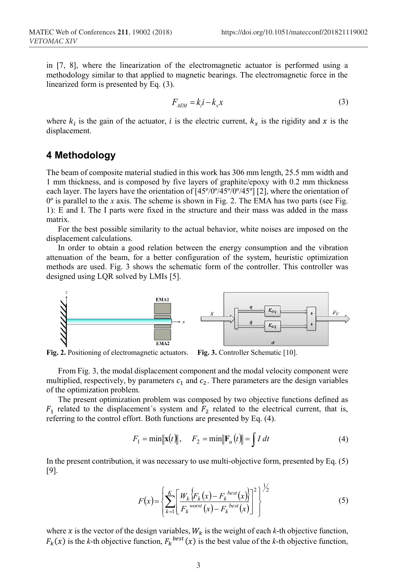in [7, 8], where the linearization of the electromagnetic actuator is performed using a methodology similar to that applied to magnetic bearings. The electromagnetic force in the linearized form is presented by Eq. (3).

$$
F_{AEM} = k_i i - k_x x \tag{3}
$$

where  $k_i$  is the gain of the actuator, *i* is the electric current,  $k_x$  is the rigidity and x is the displacement.

# **4 Methodology**

The beam of composite material studied in this work has 306 mm length, 25.5 mm width and 1 mm thickness, and is composed by five layers of graphite/epoxy with 0.2 mm thickness each layer. The layers have the orientation of [45º/0º/45º/0º/45º] [2], where the orientation of 0º is parallel to the *x* axis. The scheme is shown in Fig. 2. The EMA has two parts (see Fig. 1): E and I. The I parts were fixed in the structure and their mass was added in the mass matrix.

For the best possible similarity to the actual behavior, white noises are imposed on the displacement calculations.

In order to obtain a good relation between the energy consumption and the vibration attenuation of the beam, for a better configuration of the system, heuristic optimization methods are used. Fig. 3 shows the schematic form of the controller. This controller was designed using LQR solved by LMIs [5].



**Fig. 2.** Positioning of electromagnetic actuators. **Fig. 3.** Controller Schematic [10].

From Fig. 3, the modal displacement component and the modal velocity component were multiplied, respectively, by parameters  $c_1$  and  $c_2$ . There parameters are the design variables of the optimization problem.

The present optimization problem was composed by two objective functions defined as  $F_1$  related to the displacement's system and  $F_2$  related to the electrical current, that is, referring to the control effort. Both functions are presented by Eq. (4).

$$
F_1 = \min \|\mathbf{x}(t)\|, \quad F_2 = \min \|\mathbf{F}_u(t)\| = \int I \, dt
$$
 (4)

In the present contribution, it was necessary to use multi-objective form, presented by Eq. (5) [9].

$$
F(x) = \left\{ \sum_{k=1}^{K} \left[ \frac{W_k \left\{ F_k(x) - F_k^{\text{ best}}(x) \right\}}{F_k^{\text{worst}}(x) - F_k^{\text{ best}}(x)} \right]^2 \right\}^{\frac{1}{2}}
$$
(5)

where x is the vector of the design variables,  $W_k$  is the weight of each  $k$ -th objective function,  $F_k(x)$  is the *k*-th objective function,  $F_k^{best}(x)$  is the best value of the *k*-th objective function,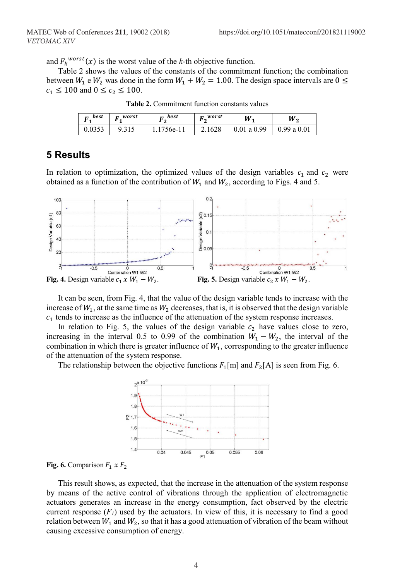and  $F_k^{worst}(x)$  is the worst value of the *k*-th objective function.

Table 2 shows the values of the constants of the commitment function; the combination between  $W_1$  e  $W_2$  was done in the form  $W_1 + W_2 = 1.00$ . The design space intervals are  $0 \le$  $c_1 \le 100$  and  $0 \le c_2 \le 100$ .

| best<br>г. | $\mathbf{r}$ worst | best<br>$\mathbf{r}$<br>$\sim$ | worst<br>$\mathbf{r}$ | $\boldsymbol{W}_{\boldsymbol{1}}$ | W,         |
|------------|--------------------|--------------------------------|-----------------------|-----------------------------------|------------|
| 0.0353     | 9.315              | 1756e-11                       | 2.1628                | 0.01 a 0.99                       | 0.99a 0.01 |

**Table 2.** Commitment function constants values

### **5 Results**

In relation to optimization, the optimized values of the design variables  $c_1$  and  $c_2$  were obtained as a function of the contribution of  $W_1$  and  $W_2$ , according to Figs. 4 and 5.



It can be seen, from Fig. 4, that the value of the design variable tends to increase with the increase of  $W_1$ , at the same time as  $W_2$  decreases, that is, it is observed that the design variable  $c_1$  tends to increase as the influence of the attenuation of the system response increases.

In relation to Fig. 5, the values of the design variable  $c_2$  have values close to zero, increasing in the interval 0.5 to 0.99 of the combination  $W_1 - W_2$ , the interval of the combination in which there is greater influence of  $W_1$ , corresponding to the greater influence of the attenuation of the system response.

The relationship between the objective functions  $F_1[m]$  and  $F_2[A]$  is seen from Fig. 6.



**Fig. 6.** Comparison  $F_1 \times F_2$ 

This result shows, as expected, that the increase in the attenuation of the system response by means of the active control of vibrations through the application of electromagnetic actuators generates an increase in the energy consumption, fact observed by the electric current response  $(F<sub>I</sub>)$  used by the actuators. In view of this, it is necessary to find a good relation between  $W_1$  and  $W_2$ , so that it has a good attenuation of vibration of the beam without causing excessive consumption of energy.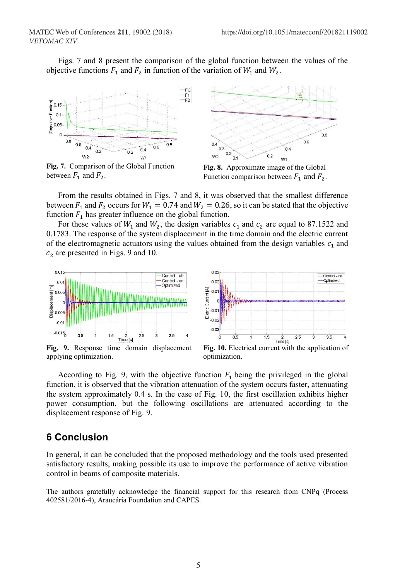Figs. 7 and 8 present the comparison of the global function between the values of the objective functions  $F_1$  and  $F_2$  in function of the variation of  $W_1$  and  $W_2$ .



**Fig. 7.** Comparison of the Global Function between  $F_1$  and  $F_2$ .



**Fig. 8.** Approximate image of the Global Function comparison between  $F_1$  and  $F_2$ .

From the results obtained in Figs. 7 and 8, it was observed that the smallest difference between  $F_1$  and  $F_2$  occurs for  $W_1 = 0.74$  and  $W_2 = 0.26$ , so it can be stated that the objective function  $F_1$  has greater influence on the global function.

For these values of  $W_1$  and  $W_2$ , the design variables  $c_1$  and  $c_2$  are equal to 87.1522 and 0.1783. The response of the system displacement in the time domain and the electric current of the electromagnetic actuators using the values obtained from the design variables  $c_1$  and  $c_2$  are presented in Figs. 9 and 10.



applying optimization.

**Fig. 10.** Electrical current with the application of optimization.

-Control - on

**Optimized** 

According to Fig. 9, with the objective function  $F_1$  being the privileged in the global function, it is observed that the vibration attenuation of the system occurs faster, attenuating the system approximately 0.4 s. In the case of Fig. 10, the first oscillation exhibits higher power consumption, but the following oscillations are attenuated according to the displacement response of Fig. 9.

### **6 Conclusion**

In general, it can be concluded that the proposed methodology and the tools used presented satisfactory results, making possible its use to improve the performance of active vibration control in beams of composite materials.

The authors gratefully acknowledge the financial support for this research from CNPq (Process 402581/2016-4), Araucária Foundation and CAPES.